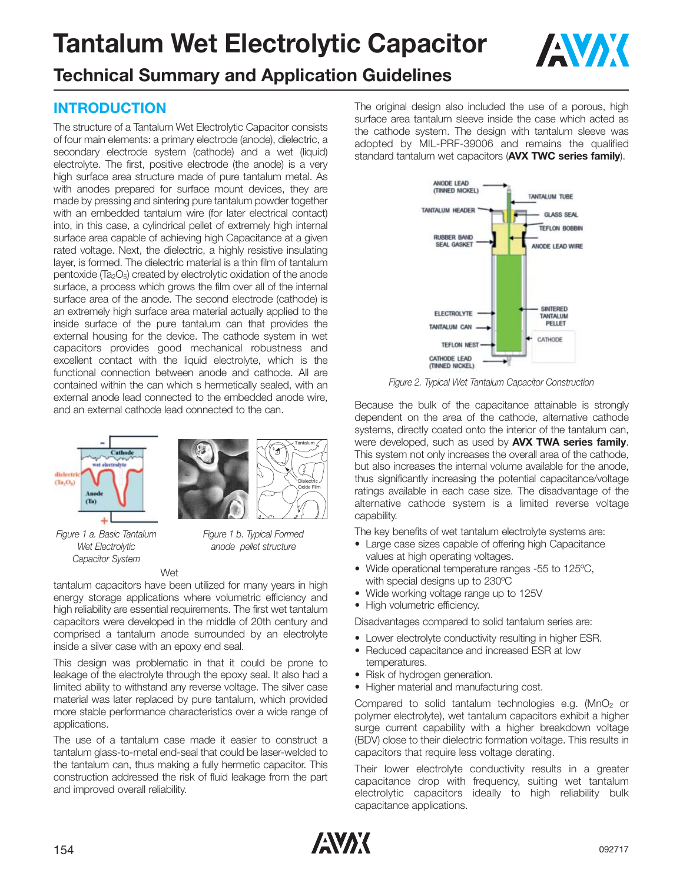

# **Technical Summary and Application Guidelines**

## **INTRODUCTION**

The structure of a Tantalum Wet Electrolytic Capacitor consists of four main elements: a primary electrode (anode), dielectric, a secondary electrode system (cathode) and a wet (liquid) electrolyte. The first, positive electrode (the anode) is a very high surface area structure made of pure tantalum metal. As with anodes prepared for surface mount devices, they are made by pressing and sintering pure tantalum powder together with an embedded tantalum wire (for later electrical contact) into, in this case, a cylindrical pellet of extremely high internal surface area capable of achieving high Capacitance at a given rated voltage. Next, the dielectric, a highly resistive insulating layer, is formed. The dielectric material is a thin film of tantalum pentoxide (Ta<sub>2</sub>O<sub>5</sub>) created by electrolytic oxidation of the anode surface, a process which grows the film over all of the internal surface area of the anode. The second electrode (cathode) is an extremely high surface area material actually applied to the inside surface of the pure tantalum can that provides the external housing for the device. The cathode system in wet capacitors provides good mechanical robustness and excellent contact with the liquid electrolyte, which is the functional connection between anode and cathode. All are contained within the can which s hermetically sealed, with an external anode lead connected to the embedded anode wire, and an external cathode lead connected to the can.







Tantalum

Dielectric Oxide Film

*Figure 1 b. Typical Formed anode pellet structure*

#### Wet

tantalum capacitors have been utilized for many years in high energy storage applications where volumetric efficiency and high reliability are essential requirements. The first wet tantalum capacitors were developed in the middle of 20th century and comprised a tantalum anode surrounded by an electrolyte inside a silver case with an epoxy end seal.

This design was problematic in that it could be prone to leakage of the electrolyte through the epoxy seal. It also had a limited ability to withstand any reverse voltage. The silver case material was later replaced by pure tantalum, which provided more stable performance characteristics over a wide range of applications.

The use of a tantalum case made it easier to construct a tantalum glass-to-metal end-seal that could be laser-welded to the tantalum can, thus making a fully hermetic capacitor. This construction addressed the risk of fluid leakage from the part and improved overall reliability.

The original design also included the use of a porous, high surface area tantalum sleeve inside the case which acted as the cathode system. The design with tantalum sleeve was adopted by MIL-PRF-39006 and remains the qualified standard tantalum wet capacitors (**AVX TWC series family**).



*Figure 2. Typical Wet Tantalum Capacitor Construction* 

Because the bulk of the capacitance attainable is strongly dependent on the area of the cathode, alternative cathode systems, directly coated onto the interior of the tantalum can, were developed, such as used by **AVX TWA series family**. This system not only increases the overall area of the cathode, but also increases the internal volume available for the anode, thus significantly increasing the potential capacitance/voltage ratings available in each case size. The disadvantage of the alternative cathode system is a limited reverse voltage capability.

The key benefits of wet tantalum electrolyte systems are:

- Large case sizes capable of offering high Capacitance values at high operating voltages.
- Wide operational temperature ranges -55 to 125ºC, with special designs up to 230ºC
- Wide working voltage range up to 125V
- High volumetric efficiency.

Disadvantages compared to solid tantalum series are:

- Lower electrolyte conductivity resulting in higher ESR.
- Reduced capacitance and increased ESR at low temperatures.
- Risk of hydrogen generation.
- Higher material and manufacturing cost.

Compared to solid tantalum technologies e.g. ( $MnO<sub>2</sub>$  or polymer electrolyte), wet tantalum capacitors exhibit a higher surge current capability with a higher breakdown voltage (BDV) close to their dielectric formation voltage. This results in capacitors that require less voltage derating.

Their lower electrolyte conductivity results in a greater capacitance drop with frequency, suiting wet tantalum electrolytic capacitors ideally to high reliability bulk capacitance applications.

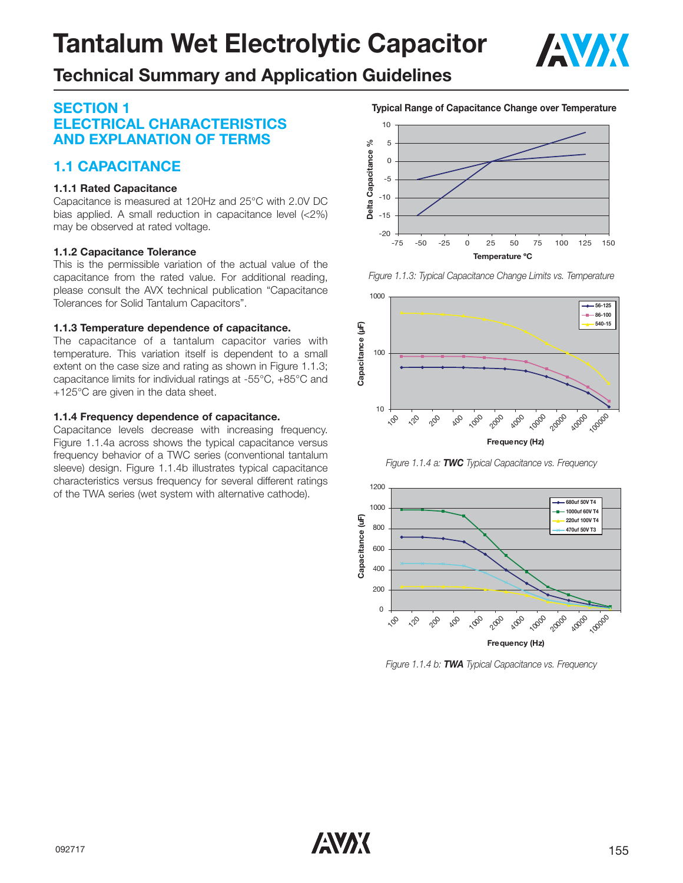

# **Technical Summary and Application Guidelines**

## **SECTION 1 ELECTRICAL CHARACTERISTICS AND EXPLANATION OF TERMS**

## **1.1 CAPACITANCE**

#### **1.1.1 Rated Capacitance**

Capacitance is measured at 120Hz and 25°C with 2.0V DC bias applied. A small reduction in capacitance level (<2%) may be observed at rated voltage.

#### **1.1.2 Capacitance Tolerance**

This is the permissible variation of the actual value of the capacitance from the rated value. For additional reading, please consult the AVX technical publication "Capacitance Tolerances for Solid Tantalum Capacitors".

#### **1.1.3 Temperature dependence of capacitance.**

The capacitance of a tantalum capacitor varies with temperature. This variation itself is dependent to a small extent on the case size and rating as shown in Figure 1.1.3; capacitance limits for individual ratings at -55°C, +85°C and +125°C are given in the data sheet.

#### **1.1.4 Frequency dependence of capacitance.**

Capacitance levels decrease with increasing frequency. Figure 1.1.4a across shows the typical capacitance versus frequency behavior of a TWC series (conventional tantalum sleeve) design. Figure 1.1.4b illustrates typical capacitance characteristics versus frequency for several different ratings of the TWA series (wet system with alternative cathode).

10 ್ನೇ 5 **Delta Capacitance %** Delta Capacitance 0 -5 -10 -15 -20 -75 -50 -25 0 25 50 75 100 125 150 **Temperature ºC**

**Typical Range of Capacitance Change over Temperature**





*Figure 1.1.4 a: TWC Typical Capacitance vs. Frequency*



*Figure 1.1.4 b: TWA Typical Capacitance vs. Frequency*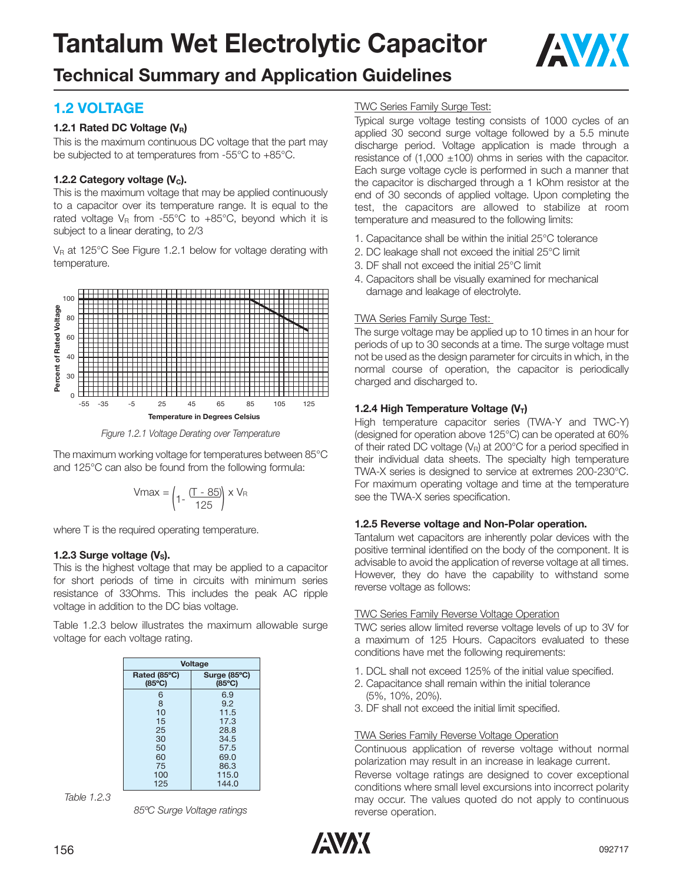

# **Technical Summary and Application Guidelines**

## **1.2 VOLTAGE**

#### **1.2.1 Rated DC Voltage (VR)**

This is the maximum continuous DC voltage that the part may be subjected to at temperatures from -55°C to +85°C.

#### **1.2.2 Category voltage (V<sub>c</sub>).**

This is the maximum voltage that may be applied continuously to a capacitor over its temperature range. It is equal to the rated voltage  $V_R$  from -55°C to +85°C, beyond which it is subject to a linear derating, to 2/3

V<sub>R</sub> at 125°C See Figure 1.2.1 below for voltage derating with temperature.



*Figure 1.2.1 Voltage Derating over Temperature*

The maximum working voltage for temperatures between 85°C and 125°C can also be found from the following formula:

$$
Vmax = \left(1 - \frac{(T - 85)}{125}\right) \times V_{\text{R}}
$$

where T is the required operating temperature.

#### **1.2.3 Surge voltage**  $(V<sub>s</sub>)$ **.**

This is the highest voltage that may be applied to a capacitor for short periods of time in circuits with minimum series resistance of 33Ohms. This includes the peak AC ripple voltage in addition to the DC bias voltage.

Table 1.2.3 below illustrates the maximum allowable surge voltage for each voltage rating.

| <b>Voltage</b>                  |                                 |  |  |  |
|---------------------------------|---------------------------------|--|--|--|
| Rated (85°C)<br>$(85^{\circ}C)$ | Surge (85°C)<br>$(85^{\circ}C)$ |  |  |  |
| 6                               | 69                              |  |  |  |
| 8                               | 9.2                             |  |  |  |
| 10                              | 11.5                            |  |  |  |
| 15                              | 17.3                            |  |  |  |
| 25                              | 28.8                            |  |  |  |
| 30                              | 34.5                            |  |  |  |
| 50                              | 57.5                            |  |  |  |
| 60                              | 69.0                            |  |  |  |
| 75                              | 86.3                            |  |  |  |
| 100                             | 115.0                           |  |  |  |
| 125                             | 144.0                           |  |  |  |

*Table 1.2.3*

*85ºC Surge Voltage ratings*

#### TWC Series Family Surge Test:

Typical surge voltage testing consists of 1000 cycles of an applied 30 second surge voltage followed by a 5.5 minute discharge period. Voltage application is made through a resistance of  $(1,000 \pm 100)$  ohms in series with the capacitor. Each surge voltage cycle is performed in such a manner that the capacitor is discharged through a 1 kOhm resistor at the end of 30 seconds of applied voltage. Upon completing the test, the capacitors are allowed to stabilize at room temperature and measured to the following limits:

- 1. Capacitance shall be within the initial 25°C tolerance
- 2. DC leakage shall not exceed the initial 25°C limit
- 3. DF shall not exceed the initial 25°C limit
- 4. Capacitors shall be visually examined for mechanical damage and leakage of electrolyte.

#### TWA Series Family Surge Test:

The surge voltage may be applied up to 10 times in an hour for periods of up to 30 seconds at a time. The surge voltage must not be used as the design parameter for circuits in which, in the normal course of operation, the capacitor is periodically charged and discharged to.

#### **1.2.4 High Temperature Voltage (V<sub>T</sub>)**

High temperature capacitor series (TWA-Y and TWC-Y) (designed for operation above 125°C) can be operated at 60% of their rated DC voltage  $(V_R)$  at 200°C for a period specified in their individual data sheets. The specialty high temperature TWA-X series is designed to service at extremes 200-230°C. For maximum operating voltage and time at the temperature see the TWA-X series specification.

#### **1.2.5 Reverse voltage and Non-Polar operation.**

Tantalum wet capacitors are inherently polar devices with the positive terminal identified on the body of the component. It is advisable to avoid the application of reverse voltage at all times. However, they do have the capability to withstand some reverse voltage as follows:

#### TWC Series Family Reverse Voltage Operation

TWC series allow limited reverse voltage levels of up to 3V for a maximum of 125 Hours. Capacitors evaluated to these conditions have met the following requirements:

- 1. DCL shall not exceed 125% of the initial value specified.
- 2. Capacitance shall remain within the initial tolerance (5%, 10%, 20%).
- 3. DF shall not exceed the initial limit specified.

#### TWA Series Family Reverse Voltage Operation

Continuous application of reverse voltage without normal polarization may result in an increase in leakage current. Reverse voltage ratings are designed to cover exceptional conditions where small level excursions into incorrect polarity may occur. The values quoted do not apply to continuous reverse operation.

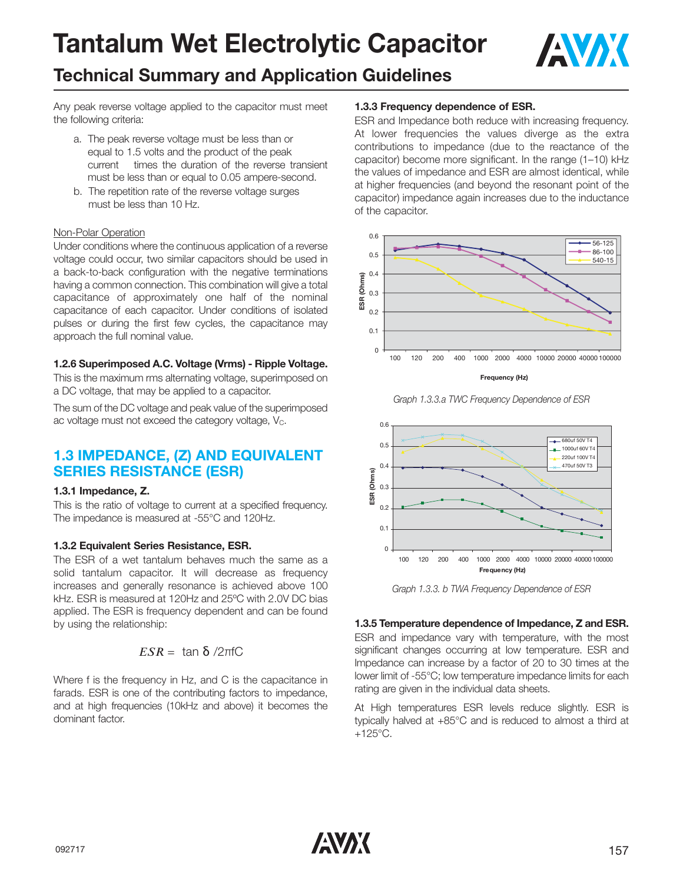

## **Technical Summary and Application Guidelines**

Any peak reverse voltage applied to the capacitor must meet the following criteria:

- a. The peak reverse voltage must be less than or equal to 1.5 volts and the product of the peak current times the duration of the reverse transient must be less than or equal to 0.05 ampere-second.
- b. The repetition rate of the reverse voltage surges must be less than 10 Hz.

#### Non-Polar Operation

Under conditions where the continuous application of a reverse voltage could occur, two similar capacitors should be used in a back-to-back configuration with the negative terminations having a common connection. This combination will give a total capacitance of approximately one half of the nominal capacitance of each capacitor. Under conditions of isolated pulses or during the first few cycles, the capacitance may approach the full nominal value.

#### **1.2.6 Superimposed A.C. Voltage (Vrms) - Ripple Voltage.**

This is the maximum rms alternating voltage, superimposed on a DC voltage, that may be applied to a capacitor.

The sum of the DC voltage and peak value of the superimposed ac voltage must not exceed the category voltage,  $V_c$ .

### **1.3 IMPEDANCE, (Z) AND EQUIVALENT SERIES RESISTANCE (ESR)**

#### **1.3.1 Impedance, Z.**

This is the ratio of voltage to current at a specified frequency. The impedance is measured at -55°C and 120Hz.

#### **1.3.2 Equivalent Series Resistance, ESR.**

The ESR of a wet tantalum behaves much the same as a solid tantalum capacitor. It will decrease as frequency increases and generally resonance is achieved above 100 kHz. ESR is measured at 120Hz and 25ºC with 2.0V DC bias applied. The ESR is frequency dependent and can be found by using the relationship:

$$
ESR = \tan \delta / 2\pi fC
$$

Where f is the frequency in Hz, and C is the capacitance in farads. ESR is one of the contributing factors to impedance, and at high frequencies (10kHz and above) it becomes the dominant factor.

#### **1.3.3 Frequency dependence of ESR.**

ESR and Impedance both reduce with increasing frequency. At lower frequencies the values diverge as the extra contributions to impedance (due to the reactance of the capacitor) become more significant. In the range (1–10) kHz the values of impedance and ESR are almost identical, while at higher frequencies (and beyond the resonant point of the capacitor) impedance again increases due to the inductance of the capacitor.



*Graph 1.3.3.a TWC Frequency Dependence of ESR* 



*Graph 1.3.3. b TWA Frequency Dependence of ESR* 

#### **1.3.5 Temperature dependence of Impedance, Z and ESR.**

ESR and impedance vary with temperature, with the most significant changes occurring at low temperature. ESR and Impedance can increase by a factor of 20 to 30 times at the lower limit of -55°C; low temperature impedance limits for each rating are given in the individual data sheets.

At High temperatures ESR levels reduce slightly. ESR is typically halved at +85°C and is reduced to almost a third at  $+125^{\circ}$ C.

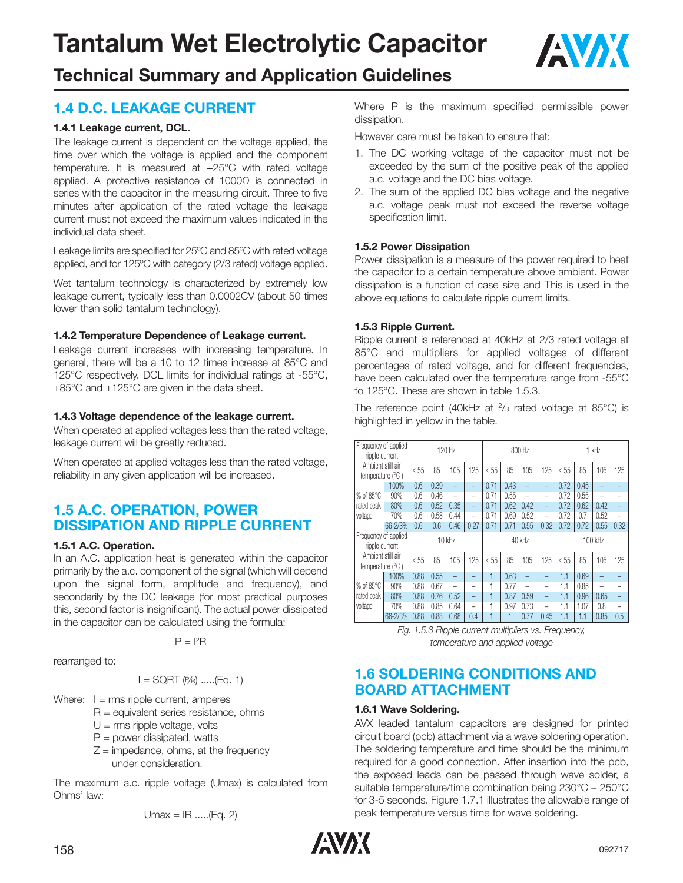

## **Technical Summary and Application Guidelines**

## **1.4 D.C. LEAKAGE CURRENT**

#### **1.4.1 Leakage current, DCL.**

The leakage current is dependent on the voltage applied, the time over which the voltage is applied and the component temperature. It is measured at +25°C with rated voltage applied. A protective resistance of 1000Ω is connected in series with the capacitor in the measuring circuit. Three to five minutes after application of the rated voltage the leakage current must not exceed the maximum values indicated in the individual data sheet.

Leakage limits are specified for 25ºC and 85ºC with rated voltage applied, and for 125ºC with category (2/3 rated) voltage applied.

Wet tantalum technology is characterized by extremely low leakage current, typically less than 0.0002CV (about 50 times lower than solid tantalum technology).

#### **1.4.2 Temperature Dependence of Leakage current.**

Leakage current increases with increasing temperature. In general, there will be a 10 to 12 times increase at 85°C and 125°C respectively. DCL limits for individual ratings at -55°C, +85°C and +125°C are given in the data sheet.

#### **1.4.3 Voltage dependence of the leakage current.**

When operated at applied voltages less than the rated voltage, leakage current will be greatly reduced.

When operated at applied voltages less than the rated voltage, reliability in any given application will be increased.

### **1.5 A.C. OPERATION, POWER DISSIPATION AND RIPPLE CURRENT**

#### **1.5.1 A.C. Operation.**

In an A.C. application heat is generated within the capacitor primarily by the a.c. component of the signal (which will depend upon the signal form, amplitude and frequency), and secondarily by the DC leakage (for most practical purposes this, second factor is insignificant). The actual power dissipated in the capacitor can be calculated using the formula:

 $P = 12R$ 

rearranged to:

$$
I = \text{SGRT} \, (\text{PR} \, \, \dots \, (\text{Eq. 1})
$$

Where:  $I = rms$  ripple current, amperes

- $R =$  equivalent series resistance, ohms
	- $U =$  rms ripple voltage, volts
	- $P = power$  dissipated, watts
	- $Z =$  impedance, ohms, at the frequency under consideration.

The maximum a.c. ripple voltage (Umax) is calculated from Ohms' law:

$$
Umax = IR
$$
 ....(Eq. 2)

Where P is the maximum specified permissible power dissipation.

However care must be taken to ensure that:

- 1. The DC working voltage of the capacitor must not be exceeded by the sum of the positive peak of the applied a.c. voltage and the DC bias voltage.
- 2. The sum of the applied DC bias voltage and the negative a.c. voltage peak must not exceed the reverse voltage specification limit.

#### **1.5.2 Power Dissipation**

Power dissipation is a measure of the power required to heat the capacitor to a certain temperature above ambient. Power dissipation is a function of case size and This is used in the above equations to calculate ripple current limits.

#### **1.5.3 Ripple Current.**

Ripple current is referenced at 40kHz at 2/3 rated voltage at 85°C and multipliers for applied voltages of different percentages of rated voltage, and for different frequencies, have been calculated over the temperature range from -55°C to 125°C. These are shown in table 1.5.3.

The reference point (40kHz at  $\frac{2}{3}$  rated voltage at 85°C) is highlighted in yellow in the table.

|                                                    | Frequency of applied<br>120 Hz<br>ripple current |           | 800 Hz |                          |                          | 1 kHz     |         |      |                          |           |      |                          |                          |
|----------------------------------------------------|--------------------------------------------------|-----------|--------|--------------------------|--------------------------|-----------|---------|------|--------------------------|-----------|------|--------------------------|--------------------------|
| Ambient still air<br>temperature (°C)              |                                                  | $\leq 55$ | 85     | 105                      | 125                      | $\leq 55$ | 85      | 105  | 125                      | $\leq 55$ | 85   | 105                      | 125                      |
|                                                    | 100%                                             | 0.6       | 0.39   |                          | -                        | 0.71      | 0.43    | -    | -                        | 0.72      | 0.45 |                          |                          |
| % of $85^{\circ}$ C                                | 90%                                              | 0.6       | 0.46   |                          | -                        | 0.71      | 0.55    | -    | -                        | 0.72      | 0.55 | -                        |                          |
| rated peak                                         | 80%                                              | 0.6       | 0.52   | 0.35                     | $\overline{\phantom{0}}$ | 0.71      | 0.62    | 0.42 | -                        | 0.72      | 0.62 | 0.42                     | $\overline{\phantom{0}}$ |
| voltage                                            | 70%                                              | 0.6       | 0.58   | 0.44                     | -                        | 0.71      | 0.69    | 0.52 | -                        | 0.72      | 0.7  | 0.52                     | $\overline{\phantom{0}}$ |
|                                                    | 66-2/3%                                          | 0.6       | 0.6    | 0.46                     | 0.27                     | 0.71      | 0.71    | 0.55 | 0.32                     | 0.72      | 0.72 | 0.55                     | 0.32                     |
| Frequency of applied<br>$10$ kHz<br>ripple current |                                                  |           |        | 40 kHz                   |                          |           | 100 kHz |      |                          |           |      |                          |                          |
| Ambient still air<br>temperature (°C)              |                                                  | $\leq 55$ | 85     | 105                      | 125                      | $\leq 55$ | 85      | 105  | 125                      | $\leq 55$ | 85   | 105                      | 125                      |
|                                                    | 100%                                             | 0.88      | 0.55   | $\overline{\phantom{0}}$ | -                        |           | 0.63    | -    |                          | 1.1       | 0.69 | -                        |                          |
| % of $85^{\circ}$ C                                | 90%                                              | 0.88      | 0.67   | -                        | $\overline{\phantom{0}}$ |           | 0.77    | -    | $\overline{\phantom{0}}$ | 1.1       | 0.85 | $\overline{\phantom{0}}$ |                          |
| rated peak                                         | 80%                                              | 0.88      | 0.76   | 0.52                     | $\overline{\phantom{0}}$ |           | 0.87    | 0.59 | $\overline{\phantom{0}}$ | 1.1       | 0.96 | 0.65                     | $\overline{\phantom{0}}$ |
| voltage                                            | 70%                                              | 0.88      | 0.85   | 0.64                     | $\overline{\phantom{a}}$ |           | 0.97    | 0.73 | $\overline{\phantom{0}}$ | 1.1       | 1.07 | 0.8                      | $\overline{\phantom{0}}$ |
|                                                    | 66-2/3%                                          | 0.88      | 0.88   | 0.68                     | 0.4                      |           |         | 0.77 | 0.45                     |           | 1.1  | 0.85                     | 0.5                      |

*Fig. 1.5.3 Ripple current multipliers vs. Frequency, temperature and applied voltage*

### **1.6 SOLDERING CONDITIONS AND BOARD ATTACHMENT**

#### **1.6.1 Wave Soldering.**

AVX leaded tantalum capacitors are designed for printed circuit board (pcb) attachment via a wave soldering operation. The soldering temperature and time should be the minimum required for a good connection. After insertion into the pcb, the exposed leads can be passed through wave solder, a suitable temperature/time combination being 230°C – 250°C for 3-5 seconds. Figure 1.7.1 illustrates the allowable range of peak temperature versus time for wave soldering.